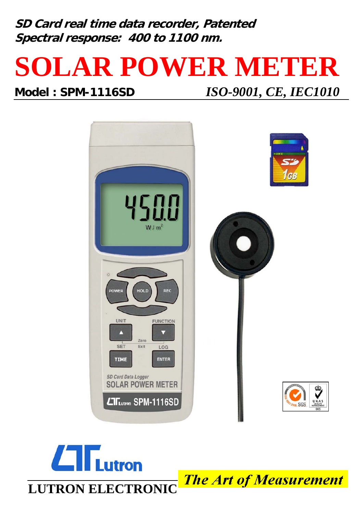**SD Card real time data recorder, Patented Spectral response: 400 to 1100 nm.**

## **SOLAR POWER METER**

## **Model : SPM-1116SD** *ISO-9001, CE, IEC1010*